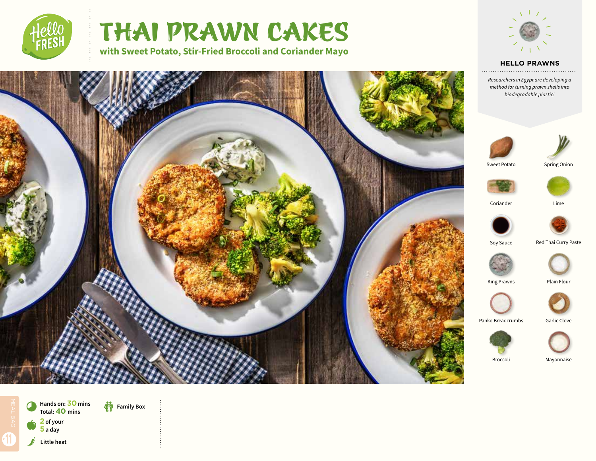

# THAI PRAWN CAKES

**with Sweet Potato, Stir-Fried Broccoli and Coriander Mayo** 



### **HELLO PRAWNS**

*Researchers in Egypt are developing a method for turning prawn shells into biodegradable plastic!* 







**Hands on: 30 mins Total:40 mins**

a **<sup>2</sup> of your** 

**Family Box** 

**5 a day**